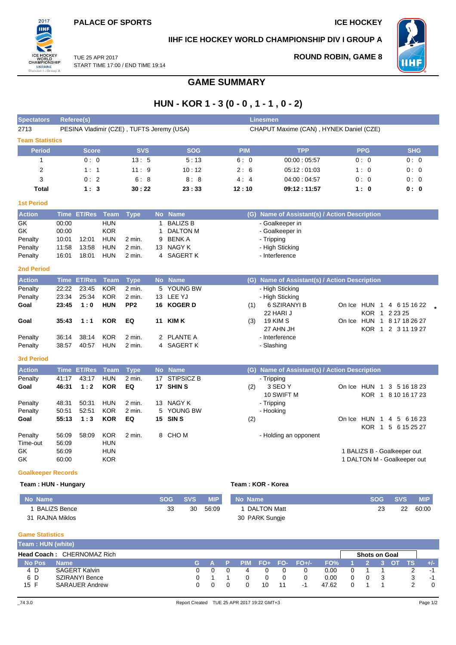

#### **IIHF ICE HOCKEY WORLD CHAMPIONSHIP DIV I GROUP A**



TUE 25 APR 2017 START TIME 17:00 / END TIME 19:14

# **ROUND ROBIN, GAME 8**

## **GAME SUMMARY**

### **HUN - KOR 1 - 3 (0 - 0 , 1 - 1 , 0 - 2)**

| <b>Spectators</b>                                            |                                           | <b>Referee(s)</b>       |                                                      |                                           |                             |                                                                                    |            | <b>Linesmen</b>                                                                       |                                                            |                                     |
|--------------------------------------------------------------|-------------------------------------------|-------------------------|------------------------------------------------------|-------------------------------------------|-----------------------------|------------------------------------------------------------------------------------|------------|---------------------------------------------------------------------------------------|------------------------------------------------------------|-------------------------------------|
| 2713                                                         |                                           |                         |                                                      | PESINA Vladimir (CZE), TUFTS Jeremy (USA) |                             |                                                                                    |            | CHAPUT Maxime (CAN), HYNEK Daniel (CZE)                                               |                                                            |                                     |
| <b>Team Statistics</b>                                       |                                           |                         |                                                      |                                           |                             |                                                                                    |            |                                                                                       |                                                            |                                     |
| <b>Period</b>                                                |                                           | <b>Score</b>            |                                                      | <b>SVS</b>                                |                             | <b>SOG</b>                                                                         | <b>PIM</b> | <b>TPP</b>                                                                            | <b>PPG</b>                                                 | <b>SHG</b>                          |
| $\mathbf{1}$                                                 |                                           | 0:0                     |                                                      | 13:5                                      |                             | 5:13                                                                               | 6:0        | 00:00:05:57                                                                           | 0:0                                                        | 0:0                                 |
| 2                                                            |                                           | 1:1                     |                                                      | 11:9                                      |                             | 10:12                                                                              | 2:6        | 05:12:01:03                                                                           | 1:0                                                        | 0:0                                 |
| 3                                                            |                                           | 0:2                     |                                                      | 6:8                                       |                             | 8:8                                                                                | 4:4        | 04:00:04:57                                                                           | 0:0                                                        | 0:0                                 |
| <b>Total</b>                                                 |                                           | 1:3                     |                                                      | 30:22                                     |                             | 23:33                                                                              | 12:10      | 09:12:11:57                                                                           | 1:0                                                        | 0: 0                                |
| <b>1st Period</b>                                            |                                           |                         |                                                      |                                           |                             |                                                                                    |            |                                                                                       |                                                            |                                     |
| <b>Action</b>                                                | <b>Time</b>                               | <b>ET/Res</b>           | <b>Team</b>                                          | <b>Type</b>                               | <b>No</b>                   | <b>Name</b>                                                                        |            | (G) Name of Assistant(s) / Action Description                                         |                                                            |                                     |
| GK<br>GK<br>Penalty<br>Penalty<br>Penalty                    | 00:00<br>00:00<br>10:01<br>11:58<br>16:01 | 12:01<br>13:58<br>18:01 | <b>HUN</b><br><b>KOR</b><br>HUN<br><b>HUN</b><br>HUN | 2 min.<br>$2$ min.<br>2 min.              | $\mathbf{1}$<br>1<br>9<br>4 | <b>BALIZS B</b><br><b>DALTON M</b><br><b>BENKA</b><br>13 NAGY K<br><b>SAGERT K</b> |            | - Goalkeeper in<br>- Goalkeeper in<br>- Tripping<br>- High Sticking<br>- Interference |                                                            |                                     |
| <b>2nd Period</b>                                            |                                           |                         |                                                      |                                           |                             |                                                                                    |            |                                                                                       |                                                            |                                     |
| <b>Action</b>                                                |                                           | <b>Time ET/Res</b>      | <b>Team</b>                                          | <b>Type</b>                               |                             | No Name                                                                            |            | (G) Name of Assistant(s) / Action Description                                         |                                                            |                                     |
| Penalty<br>Penalty<br>Goal                                   | 22:22<br>23:34<br>23:45                   | 23:45<br>25:34<br>1:0   | <b>KOR</b><br><b>KOR</b><br><b>HUN</b>               | 2 min.<br>2 min.<br>PP <sub>2</sub>       |                             | 5 YOUNG BW<br>13 LEE YJ<br>16 KOGER D                                              | (1)        | - High Sticking<br>- High Sticking<br>6 SZIRANYI B<br>22 HARI J                       | On Ice HUN 1 4 6 15 16 22                                  | KOR 1 2 23 25                       |
| Goal                                                         | 35:43                                     | 1:1                     | <b>KOR</b>                                           | EQ                                        |                             | <b>11 KIM K</b>                                                                    | (3)        | <b>19 KIM S</b><br>27 AHN JH                                                          | On Ice HUN 1 8 17 18 26 27                                 | KOR 1 2 3 11 19 27                  |
| Penalty<br>Penalty                                           | 36:14<br>38:57                            | 38:14<br>40:57          | <b>KOR</b><br><b>HUN</b>                             | 2 min.<br>2 min.                          | 2<br>4                      | <b>PLANTE A</b><br><b>SAGERT K</b>                                                 |            | - Interference<br>- Slashing                                                          |                                                            |                                     |
| <b>3rd Period</b>                                            |                                           |                         |                                                      |                                           |                             |                                                                                    |            |                                                                                       |                                                            |                                     |
| <b>Action</b>                                                | <b>Time</b>                               | <b>ET/Res</b>           | <b>Team</b>                                          | <b>Type</b>                               |                             | No Name                                                                            |            | (G) Name of Assistant(s) / Action Description                                         |                                                            |                                     |
| Penalty<br>Goal<br>Penalty                                   | 41:17<br>46:31<br>48:31                   | 43:17<br>1:2<br>50:31   | <b>HUN</b><br><b>KOR</b><br><b>HUN</b>               | 2 min.<br>EQ<br>2 min.                    | 17<br>13                    | <b>STIPSICZ B</b><br>17 SHIN S<br>NAGY K                                           | (2)        | - Tripping<br>3 SEO Y<br>10 SWIFT M<br>- Tripping                                     | On Ice HUN 1                                               | 3 5 16 18 23<br>KOR 1 8 10 16 17 23 |
| Penalty                                                      | 50:51                                     | 52:51                   | <b>KOR</b>                                           | $2$ min.                                  |                             | 5 YOUNG BW                                                                         |            | - Hooking                                                                             |                                                            |                                     |
| Goal                                                         | 55:13                                     | 1:3                     | <b>KOR</b>                                           | EQ                                        |                             | 15 SIN S                                                                           | (2)        |                                                                                       | On Ice HUN 1 4 5 6 16 23                                   | KOR 1 5 6 15 25 27                  |
| Penalty<br>Time-out<br>GK<br>GK<br><b>Goalkeeper Records</b> | 56:09<br>56:09<br>56:09<br>60:00          | 58:09                   | <b>KOR</b><br><b>HUN</b><br><b>HUN</b><br><b>KOR</b> | 2 min.                                    |                             | 8 CHOM                                                                             |            | - Holding an opponent                                                                 | 1 BALIZS B - Goalkeeper out<br>1 DALTON M - Goalkeeper out |                                     |

#### **Team : HUN - Hungary Team : KOR - Korea**

| No Name         | <b>SOG</b> | SVS. | <b>MIP</b> | No Name            | <b>SOG</b> | <b>SVS</b> | <b>MIP</b> |
|-----------------|------------|------|------------|--------------------|------------|------------|------------|
| BALIZS Bence    | วว         | 30   | 56:09      | <b>DALTON Matt</b> | 23         | 22         | 60:00      |
| 31 RAJNA Miklos |            |      |            | 30 PARK Sungje     |            |            |            |

#### **Game Statistics**

| Team: HUN (white) |                                   |         |   |    |                   |       |                      |  |           |                                                                                                                                                                                                                                |
|-------------------|-----------------------------------|---------|---|----|-------------------|-------|----------------------|--|-----------|--------------------------------------------------------------------------------------------------------------------------------------------------------------------------------------------------------------------------------|
|                   | <b>Head Coach: CHERNOMAZ Rich</b> |         |   |    |                   |       | <b>Shots on Goal</b> |  |           |                                                                                                                                                                                                                                |
| <b>No Pos</b>     | <b>Name</b>                       | IG A P' |   |    | PIM FO+ FO- FO+/- | FO%   |                      |  | <b>TS</b> | $+/-$                                                                                                                                                                                                                          |
| 4 D               | <b>SAGERT Kalvin</b>              |         | 4 |    |                   | 0.00  |                      |  |           | $\blacksquare$                                                                                                                                                                                                                 |
| 6 D               | <b>SZIRANYI Bence</b>             |         |   |    |                   | 0.00  | $\Omega$             |  |           | . The contract of the contract of the contract of the contract of the contract of the contract of the contract of the contract of the contract of the contract of the contract of the contract of the contract of the contract |
| 15 F              | <b>SARAUER Andrew</b>             |         |   | 10 | - 1               | 47.62 |                      |  |           | 0                                                                                                                                                                                                                              |